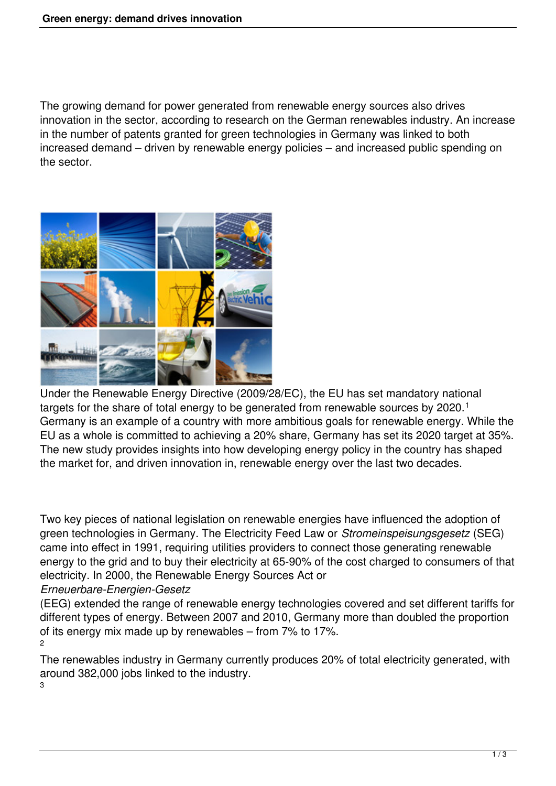The growing demand for power generated from renewable energy sources also drives innovation in the sector, according to research on the German renewables industry. An increase in the number of patents granted for green technologies in Germany was linked to both increased demand – driven by renewable energy policies – and increased public spending on the sector.



Under the Renewable Energy Directive (2009/28/EC), the EU has set mandatory national targets for the share of total energy to be generated from renewable sources by 2020.<sup>1</sup> Germany is an example of a country with more ambitious goals for renewable energy. While the EU as a whole is committed to achieving a 20% share, Germany has set its 2020 target at 35%. The new study provides insights into how developing energy policy in the country has shaped the market for, and driven innovation in, renewable energy over the last two decades.

Two key pieces of national legislation on renewable energies have influenced the adoption of green technologies in Germany. The Electricity Feed Law or *Stromeinspeisungsgesetz* (SEG) came into effect in 1991, requiring utilities providers to connect those generating renewable energy to the grid and to buy their electricity at 65-90% of the cost charged to consumers of that electricity. In 2000, the Renewable Energy Sources Act or

## *Erneuerbare-Energien-Gesetz*

(EEG) extended the range of renewable energy technologies covered and set different tariffs for different types of energy. Between 2007 and 2010, Germany more than doubled the proportion of its energy mix made up by renewables – from 7% to 17%. 2

The renewables industry in Germany currently produces 20% of total electricity generated, with around 382,000 jobs linked to the industry. 3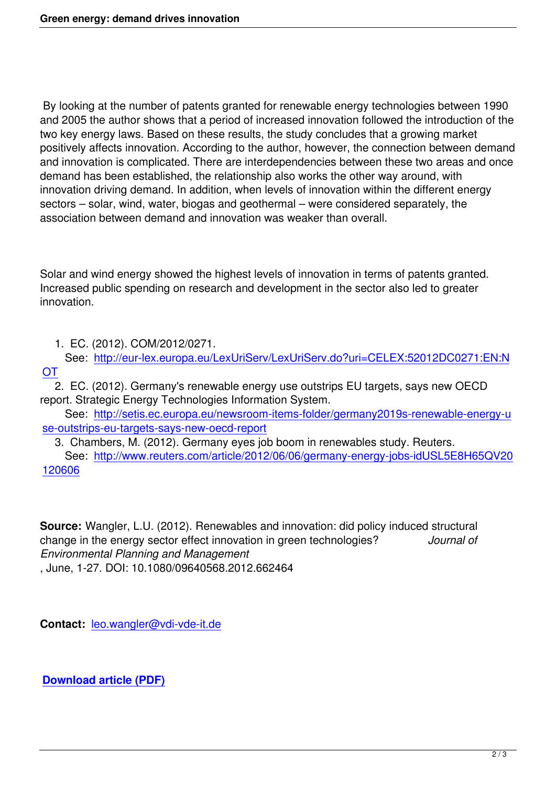By looking at the number of patents granted for renewable energy technologies between 1990 and 2005 the author shows that a period of increased innovation followed the introduction of the two key energy laws. Based on these results, the study concludes that a growing market positively affects innovation. According to the author, however, the connection between demand and innovation is complicated. There are interdependencies between these two areas and once demand has been established, the relationship also works the other way around, with innovation driving demand. In addition, when levels of innovation within the different energy sectors – solar, wind, water, biogas and geothermal – were considered separately, the association between demand and innovation was weaker than overall.

Solar and wind energy showed the highest levels of innovation in terms of patents granted. Increased public spending on research and development in the sector also led to greater innovation.

1. EC. (2012). COM/2012/0271.

See: http://eur-lex.europa.eu/LexUriServ/LexUriServ.do?uri=CELEX:52012DC0271:EN:N **OT** 

 2. EC. (2012). Germany's renewable energy use outstrips EU targets, says new OECD report. Str[ategic Energy Technologies Information System.](http://eur-lex.europa.eu/LexUriServ/LexUriServ.do?uri=CELEX:52012DC0271:EN:NOT)

See: http://setis.ec.europa.eu/newsroom-items-folder/germany2019s-renewable-energy-u [se-](http://eur-lex.europa.eu/LexUriServ/LexUriServ.do?uri=CELEX:52012DC0271:EN:NOT)outstrips-eu-targets-says-new-oecd-report

3. Chambers, M. (2012). Germany eyes job boom in renewables study. Reuters.

See: [http://www.reuters.com/article/2012/06/06/germany-energy-jobs-idUSL5E8H65QV20](http://setis.ec.europa.eu/newsroom-items-folder/germany2019s-renewable-energy-use-outstrips-eu-targets-says-new-oecd-report) [120606](http://setis.ec.europa.eu/newsroom-items-folder/germany2019s-renewable-energy-use-outstrips-eu-targets-says-new-oecd-report) 

**[Source:](http://www.reuters.com/article/2012/06/06/germany-energy-jobs-idUSL5E8H65QV20120606)** Wangler, L.U. (2012). Renewables and innovation: did policy induced structural change in the energy sector effect innovation in green technologies? *Journal of Environmental Planning and Management* , June, 1-27. DOI: 10.1080/09640568.2012.662464

**Contact:** leo.wangler@vdi-vde-it.de

**Downloa[d article \(PDF\)](mailto:leo.wangler@vdi-vde-it.de)**